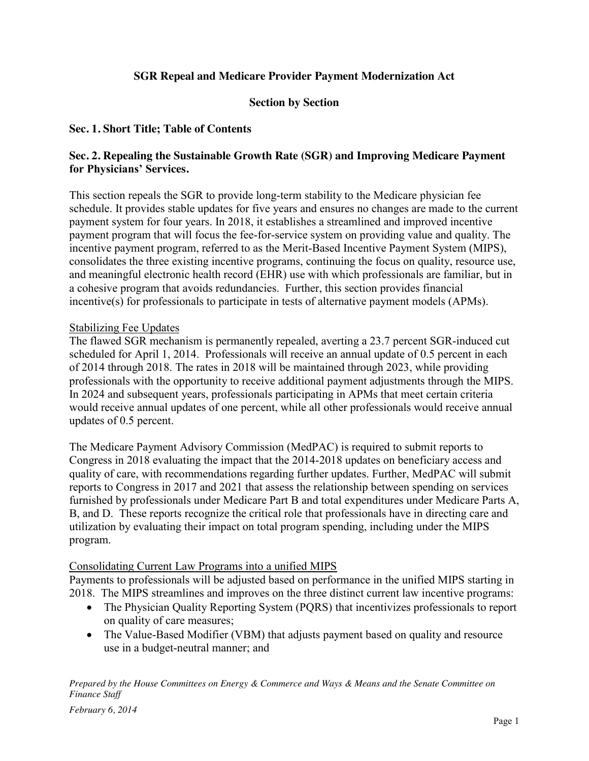# **SGR Repeal and Medicare Provider Payment Modernization Act**

#### **Section by Section**

#### **Sec. 1. Short Title; Table of Contents**

#### **Sec. 2. Repealing the Sustainable Growth Rate (SGR) and Improving Medicare Payment for Physicians' Services.**

This section repeals the SGR to provide long-term stability to the Medicare physician fee schedule. It provides stable updates for five years and ensures no changes are made to the current payment system for four years. In 2018, it establishes a streamlined and improved incentive payment program that will focus the fee-for-service system on providing value and quality. The incentive payment program, referred to as the Merit-Based Incentive Payment System (MIPS), consolidates the three existing incentive programs, continuing the focus on quality, resource use, and meaningful electronic health record (EHR) use with which professionals are familiar, but in a cohesive program that avoids redundancies. Further, this section provides financial incentive(s) for professionals to participate in tests of alternative payment models (APMs).

#### Stabilizing Fee Updates

The flawed SGR mechanism is permanently repealed, averting a 23.7 percent SGR-induced cut scheduled for April 1, 2014. Professionals will receive an annual update of 0.5 percent in each of 2014 through 2018. The rates in 2018 will be maintained through 2023, while providing professionals with the opportunity to receive additional payment adjustments through the MIPS. In 2024 and subsequent years, professionals participating in APMs that meet certain criteria would receive annual updates of one percent, while all other professionals would receive annual updates of 0.5 percent.

The Medicare Payment Advisory Commission (MedPAC) is required to submit reports to Congress in 2018 evaluating the impact that the 2014-2018 updates on beneficiary access and quality of care, with recommendations regarding further updates. Further, MedPAC will submit reports to Congress in 2017 and 2021 that assess the relationship between spending on services furnished by professionals under Medicare Part B and total expenditures under Medicare Parts A, B, and D. These reports recognize the critical role that professionals have in directing care and utilization by evaluating their impact on total program spending, including under the MIPS program.

#### Consolidating Current Law Programs into a unified MIPS

Payments to professionals will be adjusted based on performance in the unified MIPS starting in 2018. The MIPS streamlines and improves on the three distinct current law incentive programs:

- The Physician Quality Reporting System (PQRS) that incentivizes professionals to report on quality of care measures;
- The Value-Based Modifier (VBM) that adjusts payment based on quality and resource use in a budget-neutral manner; and

*Prepared by the House Committees on Energy & Commerce and Ways & Means and the Senate Committee on Finance Staff*

*February 6, 2014*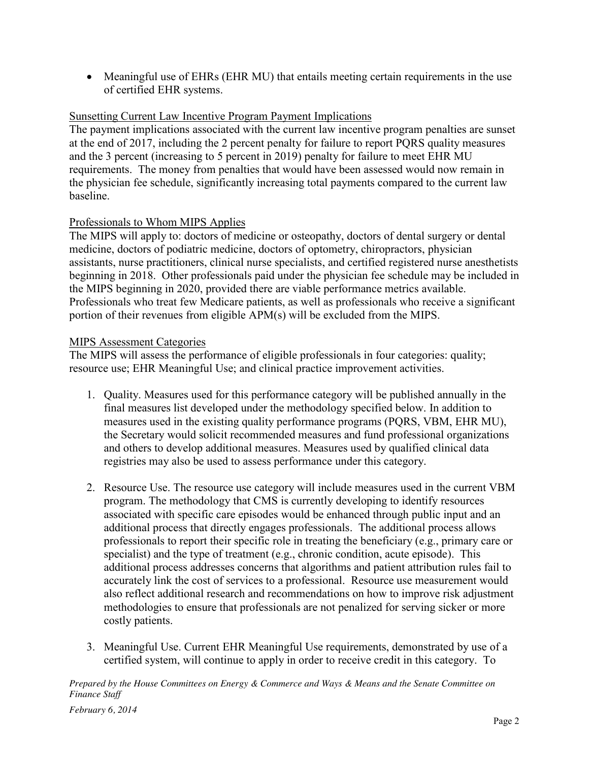• Meaningful use of EHRs (EHR MU) that entails meeting certain requirements in the use of certified EHR systems.

# Sunsetting Current Law Incentive Program Payment Implications

The payment implications associated with the current law incentive program penalties are sunset at the end of 2017, including the 2 percent penalty for failure to report PQRS quality measures and the 3 percent (increasing to 5 percent in 2019) penalty for failure to meet EHR MU requirements. The money from penalties that would have been assessed would now remain in the physician fee schedule, significantly increasing total payments compared to the current law baseline.

## Professionals to Whom MIPS Applies

The MIPS will apply to: doctors of medicine or osteopathy, doctors of dental surgery or dental medicine, doctors of podiatric medicine, doctors of optometry, chiropractors, physician assistants, nurse practitioners, clinical nurse specialists, and certified registered nurse anesthetists beginning in 2018. Other professionals paid under the physician fee schedule may be included in the MIPS beginning in 2020, provided there are viable performance metrics available. Professionals who treat few Medicare patients, as well as professionals who receive a significant portion of their revenues from eligible APM(s) will be excluded from the MIPS.

## MIPS Assessment Categories

The MIPS will assess the performance of eligible professionals in four categories: quality; resource use; EHR Meaningful Use; and clinical practice improvement activities.

- 1. Quality. Measures used for this performance category will be published annually in the final measures list developed under the methodology specified below. In addition to measures used in the existing quality performance programs (PQRS, VBM, EHR MU), the Secretary would solicit recommended measures and fund professional organizations and others to develop additional measures. Measures used by qualified clinical data registries may also be used to assess performance under this category.
- 2. Resource Use. The resource use category will include measures used in the current VBM program. The methodology that CMS is currently developing to identify resources associated with specific care episodes would be enhanced through public input and an additional process that directly engages professionals. The additional process allows professionals to report their specific role in treating the beneficiary (e.g., primary care or specialist) and the type of treatment (e.g., chronic condition, acute episode). This additional process addresses concerns that algorithms and patient attribution rules fail to accurately link the cost of services to a professional. Resource use measurement would also reflect additional research and recommendations on how to improve risk adjustment methodologies to ensure that professionals are not penalized for serving sicker or more costly patients.
- 3. Meaningful Use. Current EHR Meaningful Use requirements, demonstrated by use of a certified system, will continue to apply in order to receive credit in this category. To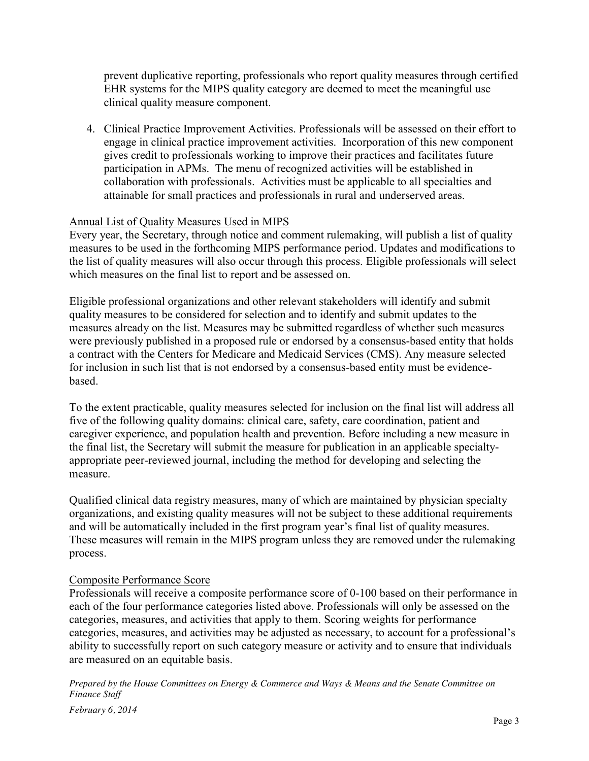prevent duplicative reporting, professionals who report quality measures through certified EHR systems for the MIPS quality category are deemed to meet the meaningful use clinical quality measure component.

4. Clinical Practice Improvement Activities. Professionals will be assessed on their effort to engage in clinical practice improvement activities. Incorporation of this new component gives credit to professionals working to improve their practices and facilitates future participation in APMs. The menu of recognized activities will be established in collaboration with professionals. Activities must be applicable to all specialties and attainable for small practices and professionals in rural and underserved areas.

#### Annual List of Quality Measures Used in MIPS

Every year, the Secretary, through notice and comment rulemaking, will publish a list of quality measures to be used in the forthcoming MIPS performance period. Updates and modifications to the list of quality measures will also occur through this process. Eligible professionals will select which measures on the final list to report and be assessed on.

Eligible professional organizations and other relevant stakeholders will identify and submit quality measures to be considered for selection and to identify and submit updates to the measures already on the list. Measures may be submitted regardless of whether such measures were previously published in a proposed rule or endorsed by a consensus-based entity that holds a contract with the Centers for Medicare and Medicaid Services (CMS). Any measure selected for inclusion in such list that is not endorsed by a consensus-based entity must be evidencebased.

To the extent practicable, quality measures selected for inclusion on the final list will address all five of the following quality domains: clinical care, safety, care coordination, patient and caregiver experience, and population health and prevention. Before including a new measure in the final list, the Secretary will submit the measure for publication in an applicable specialtyappropriate peer-reviewed journal, including the method for developing and selecting the measure.

Qualified clinical data registry measures, many of which are maintained by physician specialty organizations, and existing quality measures will not be subject to these additional requirements and will be automatically included in the first program year's final list of quality measures. These measures will remain in the MIPS program unless they are removed under the rulemaking process.

#### Composite Performance Score

Professionals will receive a composite performance score of 0-100 based on their performance in each of the four performance categories listed above. Professionals will only be assessed on the categories, measures, and activities that apply to them. Scoring weights for performance categories, measures, and activities may be adjusted as necessary, to account for a professional's ability to successfully report on such category measure or activity and to ensure that individuals are measured on an equitable basis.

*Prepared by the House Committees on Energy & Commerce and Ways & Means and the Senate Committee on Finance Staff*

*February 6, 2014*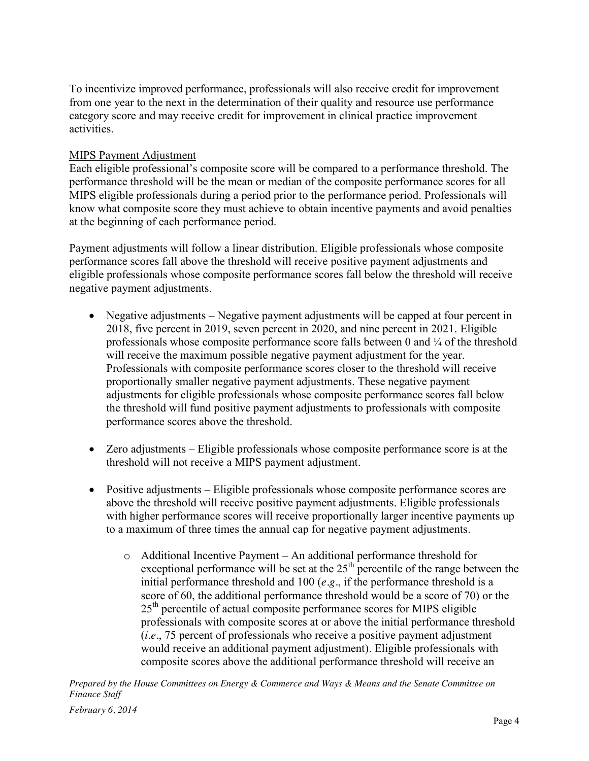To incentivize improved performance, professionals will also receive credit for improvement from one year to the next in the determination of their quality and resource use performance category score and may receive credit for improvement in clinical practice improvement activities.

# MIPS Payment Adjustment

Each eligible professional's composite score will be compared to a performance threshold. The performance threshold will be the mean or median of the composite performance scores for all MIPS eligible professionals during a period prior to the performance period. Professionals will know what composite score they must achieve to obtain incentive payments and avoid penalties at the beginning of each performance period.

Payment adjustments will follow a linear distribution. Eligible professionals whose composite performance scores fall above the threshold will receive positive payment adjustments and eligible professionals whose composite performance scores fall below the threshold will receive negative payment adjustments.

- Negative adjustments Negative payment adjustments will be capped at four percent in 2018, five percent in 2019, seven percent in 2020, and nine percent in 2021. Eligible professionals whose composite performance score falls between 0 and  $\frac{1}{4}$  of the threshold will receive the maximum possible negative payment adjustment for the year. Professionals with composite performance scores closer to the threshold will receive proportionally smaller negative payment adjustments. These negative payment adjustments for eligible professionals whose composite performance scores fall below the threshold will fund positive payment adjustments to professionals with composite performance scores above the threshold.
- Zero adjustments Eligible professionals whose composite performance score is at the threshold will not receive a MIPS payment adjustment.
- Positive adjustments Eligible professionals whose composite performance scores are above the threshold will receive positive payment adjustments. Eligible professionals with higher performance scores will receive proportionally larger incentive payments up to a maximum of three times the annual cap for negative payment adjustments.
	- o Additional Incentive Payment An additional performance threshold for exceptional performance will be set at the  $25<sup>th</sup>$  percentile of the range between the initial performance threshold and 100 (*e.g.*, if the performance threshold is a score of 60, the additional performance threshold would be a score of 70) or the  $25<sup>th</sup>$  percentile of actual composite performance scores for MIPS eligible professionals with composite scores at or above the initial performance threshold (*i.e.*, 75 percent of professionals who receive a positive payment adjustment would receive an additional payment adjustment). Eligible professionals with composite scores above the additional performance threshold will receive an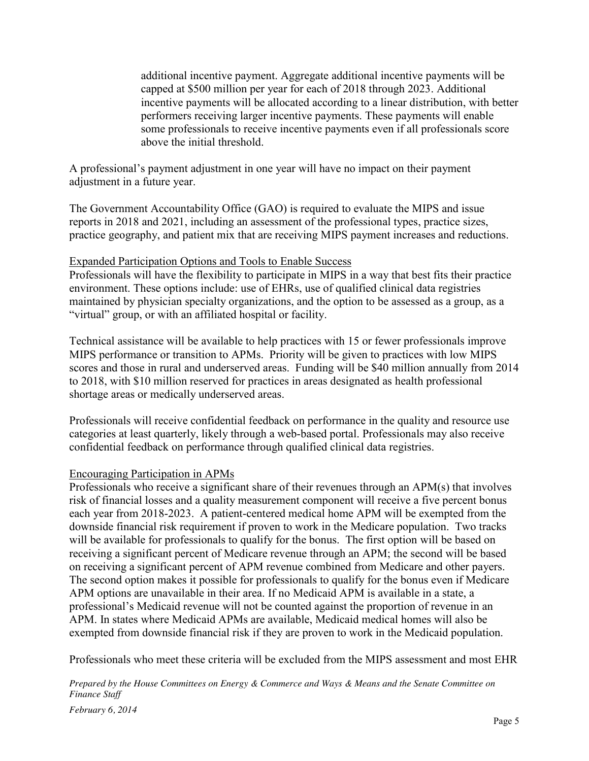additional incentive payment. Aggregate additional incentive payments will be capped at \$500 million per year for each of 2018 through 2023. Additional incentive payments will be allocated according to a linear distribution, with better performers receiving larger incentive payments. These payments will enable some professionals to receive incentive payments even if all professionals score above the initial threshold.

A professional's payment adjustment in one year will have no impact on their payment adjustment in a future year.

The Government Accountability Office (GAO) is required to evaluate the MIPS and issue reports in 2018 and 2021, including an assessment of the professional types, practice sizes, practice geography, and patient mix that are receiving MIPS payment increases and reductions.

#### Expanded Participation Options and Tools to Enable Success

Professionals will have the flexibility to participate in MIPS in a way that best fits their practice environment. These options include: use of EHRs, use of qualified clinical data registries maintained by physician specialty organizations, and the option to be assessed as a group, as a "virtual" group, or with an affiliated hospital or facility.

Technical assistance will be available to help practices with 15 or fewer professionals improve MIPS performance or transition to APMs. Priority will be given to practices with low MIPS scores and those in rural and underserved areas. Funding will be \$40 million annually from 2014 to 2018, with \$10 million reserved for practices in areas designated as health professional shortage areas or medically underserved areas.

Professionals will receive confidential feedback on performance in the quality and resource use categories at least quarterly, likely through a web-based portal. Professionals may also receive confidential feedback on performance through qualified clinical data registries.

## Encouraging Participation in APMs

Professionals who receive a significant share of their revenues through an APM(s) that involves risk of financial losses and a quality measurement component will receive a five percent bonus each year from 2018-2023. A patient-centered medical home APM will be exempted from the downside financial risk requirement if proven to work in the Medicare population. Two tracks will be available for professionals to qualify for the bonus. The first option will be based on receiving a significant percent of Medicare revenue through an APM; the second will be based on receiving a significant percent of APM revenue combined from Medicare and other payers. The second option makes it possible for professionals to qualify for the bonus even if Medicare APM options are unavailable in their area. If no Medicaid APM is available in a state, a professional's Medicaid revenue will not be counted against the proportion of revenue in an APM. In states where Medicaid APMs are available, Medicaid medical homes will also be exempted from downside financial risk if they are proven to work in the Medicaid population.

Professionals who meet these criteria will be excluded from the MIPS assessment and most EHR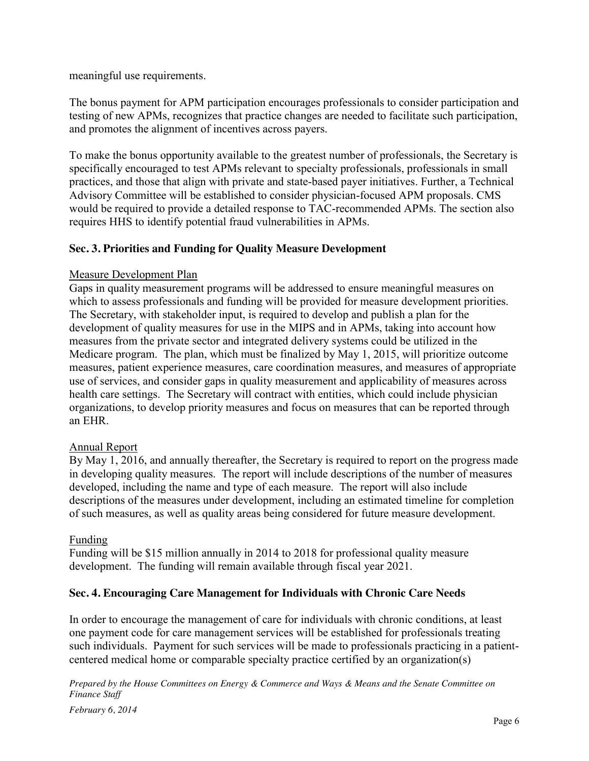meaningful use requirements.

The bonus payment for APM participation encourages professionals to consider participation and testing of new APMs, recognizes that practice changes are needed to facilitate such participation, and promotes the alignment of incentives across payers.

To make the bonus opportunity available to the greatest number of professionals, the Secretary is specifically encouraged to test APMs relevant to specialty professionals, professionals in small practices, and those that align with private and state-based payer initiatives. Further, a Technical Advisory Committee will be established to consider physician-focused APM proposals. CMS would be required to provide a detailed response to TAC-recommended APMs. The section also requires HHS to identify potential fraud vulnerabilities in APMs.

# **Sec. 3. Priorities and Funding for Quality Measure Development**

## Measure Development Plan

Gaps in quality measurement programs will be addressed to ensure meaningful measures on which to assess professionals and funding will be provided for measure development priorities. The Secretary, with stakeholder input, is required to develop and publish a plan for the development of quality measures for use in the MIPS and in APMs, taking into account how measures from the private sector and integrated delivery systems could be utilized in the Medicare program. The plan, which must be finalized by May 1, 2015, will prioritize outcome measures, patient experience measures, care coordination measures, and measures of appropriate use of services, and consider gaps in quality measurement and applicability of measures across health care settings. The Secretary will contract with entities, which could include physician organizations, to develop priority measures and focus on measures that can be reported through an EHR.

## Annual Report

By May 1, 2016, and annually thereafter, the Secretary is required to report on the progress made in developing quality measures. The report will include descriptions of the number of measures developed, including the name and type of each measure. The report will also include descriptions of the measures under development, including an estimated timeline for completion of such measures, as well as quality areas being considered for future measure development.

## Funding

Funding will be \$15 million annually in 2014 to 2018 for professional quality measure development. The funding will remain available through fiscal year 2021.

## **Sec. 4. Encouraging Care Management for Individuals with Chronic Care Needs**

In order to encourage the management of care for individuals with chronic conditions, at least one payment code for care management services will be established for professionals treating such individuals. Payment for such services will be made to professionals practicing in a patientcentered medical home or comparable specialty practice certified by an organization(s)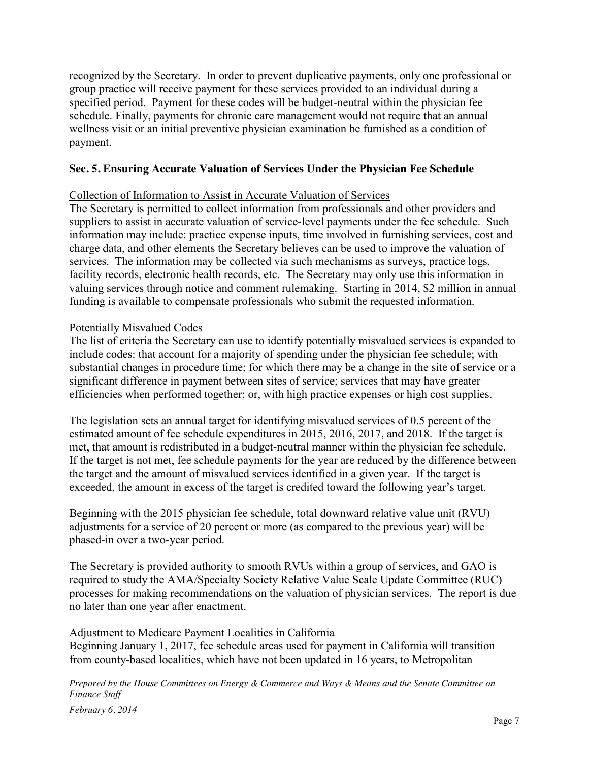recognized by the Secretary. In order to prevent duplicative payments, only one professional or group practice will receive payment for these services provided to an individual during a specified period. Payment for these codes will be budget-neutral within the physician fee schedule. Finally, payments for chronic care management would not require that an annual wellness visit or an initial preventive physician examination be furnished as a condition of payment.

## **Sec. 5. Ensuring Accurate Valuation of Services Under the Physician Fee Schedule**

#### Collection of Information to Assist in Accurate Valuation of Services

The Secretary is permitted to collect information from professionals and other providers and suppliers to assist in accurate valuation of service-level payments under the fee schedule. Such information may include: practice expense inputs, time involved in furnishing services, cost and charge data, and other elements the Secretary believes can be used to improve the valuation of services. The information may be collected via such mechanisms as surveys, practice logs, facility records, electronic health records, etc. The Secretary may only use this information in valuing services through notice and comment rulemaking. Starting in 2014, \$2 million in annual funding is available to compensate professionals who submit the requested information.

#### Potentially Misvalued Codes

The list of criteria the Secretary can use to identify potentially misvalued services is expanded to include codes: that account for a majority of spending under the physician fee schedule; with substantial changes in procedure time; for which there may be a change in the site of service or a significant difference in payment between sites of service; services that may have greater efficiencies when performed together; or, with high practice expenses or high cost supplies.

The legislation sets an annual target for identifying misvalued services of 0.5 percent of the estimated amount of fee schedule expenditures in 2015, 2016, 2017, and 2018. If the target is met, that amount is redistributed in a budget-neutral manner within the physician fee schedule. If the target is not met, fee schedule payments for the year are reduced by the difference between the target and the amount of misvalued services identified in a given year. If the target is exceeded, the amount in excess of the target is credited toward the following year's target.

Beginning with the 2015 physician fee schedule, total downward relative value unit (RVU) adjustments for a service of 20 percent or more (as compared to the previous year) will be phased-in over a two-year period.

The Secretary is provided authority to smooth RVUs within a group of services, and GAO is required to study the AMA/Specialty Society Relative Value Scale Update Committee (RUC) processes for making recommendations on the valuation of physician services. The report is due no later than one year after enactment.

#### Adjustment to Medicare Payment Localities in California

Beginning January 1, 2017, fee schedule areas used for payment in California will transition from county-based localities, which have not been updated in 16 years, to Metropolitan

*Prepared by the House Committees on Energy & Commerce and Ways & Means and the Senate Committee on Finance Staff*

*February 6, 2014*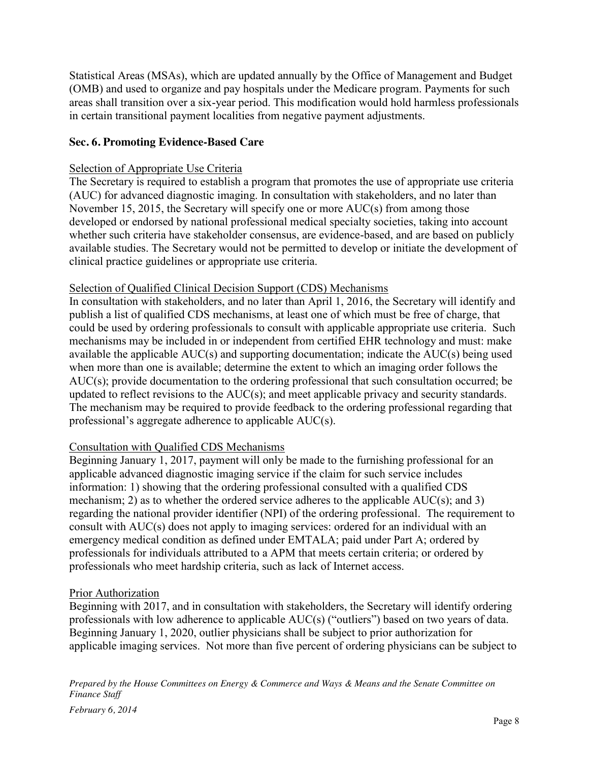Statistical Areas (MSAs), which are updated annually by the Office of Management and Budget (OMB) and used to organize and pay hospitals under the Medicare program. Payments for such areas shall transition over a six-year period. This modification would hold harmless professionals in certain transitional payment localities from negative payment adjustments.

# **Sec. 6. Promoting Evidence-Based Care**

## Selection of Appropriate Use Criteria

The Secretary is required to establish a program that promotes the use of appropriate use criteria (AUC) for advanced diagnostic imaging. In consultation with stakeholders, and no later than November 15, 2015, the Secretary will specify one or more AUC(s) from among those developed or endorsed by national professional medical specialty societies, taking into account whether such criteria have stakeholder consensus, are evidence-based, and are based on publicly available studies. The Secretary would not be permitted to develop or initiate the development of clinical practice guidelines or appropriate use criteria.

## Selection of Qualified Clinical Decision Support (CDS) Mechanisms

In consultation with stakeholders, and no later than April 1, 2016, the Secretary will identify and publish a list of qualified CDS mechanisms, at least one of which must be free of charge, that could be used by ordering professionals to consult with applicable appropriate use criteria. Such mechanisms may be included in or independent from certified EHR technology and must: make available the applicable AUC(s) and supporting documentation; indicate the AUC(s) being used when more than one is available; determine the extent to which an imaging order follows the AUC(s); provide documentation to the ordering professional that such consultation occurred; be updated to reflect revisions to the AUC(s); and meet applicable privacy and security standards. The mechanism may be required to provide feedback to the ordering professional regarding that professional's aggregate adherence to applicable AUC(s).

## Consultation with Qualified CDS Mechanisms

Beginning January 1, 2017, payment will only be made to the furnishing professional for an applicable advanced diagnostic imaging service if the claim for such service includes information: 1) showing that the ordering professional consulted with a qualified CDS mechanism; 2) as to whether the ordered service adheres to the applicable AUC(s); and 3) regarding the national provider identifier (NPI) of the ordering professional. The requirement to consult with AUC(s) does not apply to imaging services: ordered for an individual with an emergency medical condition as defined under EMTALA; paid under Part A; ordered by professionals for individuals attributed to a APM that meets certain criteria; or ordered by professionals who meet hardship criteria, such as lack of Internet access.

## Prior Authorization

Beginning with 2017, and in consultation with stakeholders, the Secretary will identify ordering professionals with low adherence to applicable AUC(s) ("outliers") based on two years of data. Beginning January 1, 2020, outlier physicians shall be subject to prior authorization for applicable imaging services. Not more than five percent of ordering physicians can be subject to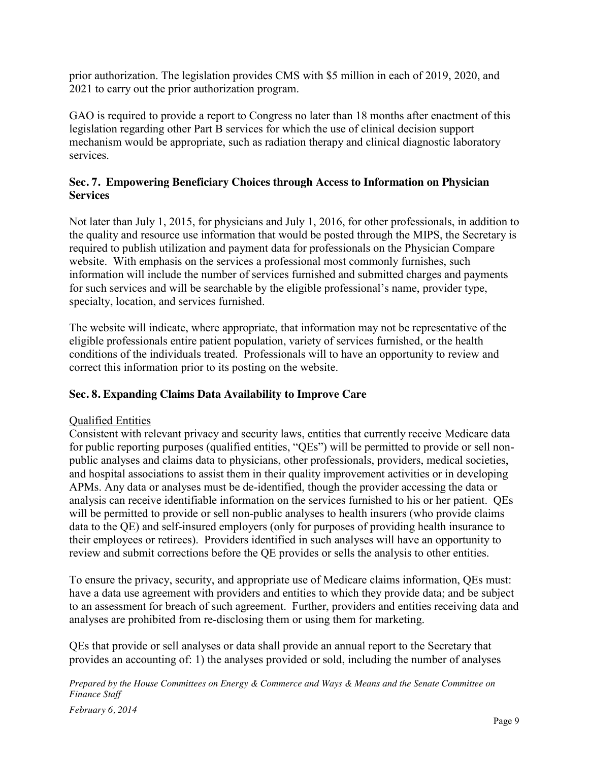prior authorization. The legislation provides CMS with \$5 million in each of 2019, 2020, and 2021 to carry out the prior authorization program.

GAO is required to provide a report to Congress no later than 18 months after enactment of this legislation regarding other Part B services for which the use of clinical decision support mechanism would be appropriate, such as radiation therapy and clinical diagnostic laboratory services.

## **Sec. 7. Empowering Beneficiary Choices through Access to Information on Physician Services**

Not later than July 1, 2015, for physicians and July 1, 2016, for other professionals, in addition to the quality and resource use information that would be posted through the MIPS, the Secretary is required to publish utilization and payment data for professionals on the Physician Compare website. With emphasis on the services a professional most commonly furnishes, such information will include the number of services furnished and submitted charges and payments for such services and will be searchable by the eligible professional's name, provider type, specialty, location, and services furnished.

The website will indicate, where appropriate, that information may not be representative of the eligible professionals entire patient population, variety of services furnished, or the health conditions of the individuals treated. Professionals will to have an opportunity to review and correct this information prior to its posting on the website.

## **Sec. 8. Expanding Claims Data Availability to Improve Care**

## Qualified Entities

Consistent with relevant privacy and security laws, entities that currently receive Medicare data for public reporting purposes (qualified entities, "QEs") will be permitted to provide or sell nonpublic analyses and claims data to physicians, other professionals, providers, medical societies, and hospital associations to assist them in their quality improvement activities or in developing APMs. Any data or analyses must be de-identified, though the provider accessing the data or analysis can receive identifiable information on the services furnished to his or her patient. QEs will be permitted to provide or sell non-public analyses to health insurers (who provide claims data to the QE) and self-insured employers (only for purposes of providing health insurance to their employees or retirees). Providers identified in such analyses will have an opportunity to review and submit corrections before the QE provides or sells the analysis to other entities.

To ensure the privacy, security, and appropriate use of Medicare claims information, QEs must: have a data use agreement with providers and entities to which they provide data; and be subject to an assessment for breach of such agreement. Further, providers and entities receiving data and analyses are prohibited from re-disclosing them or using them for marketing.

QEs that provide or sell analyses or data shall provide an annual report to the Secretary that provides an accounting of: 1) the analyses provided or sold, including the number of analyses